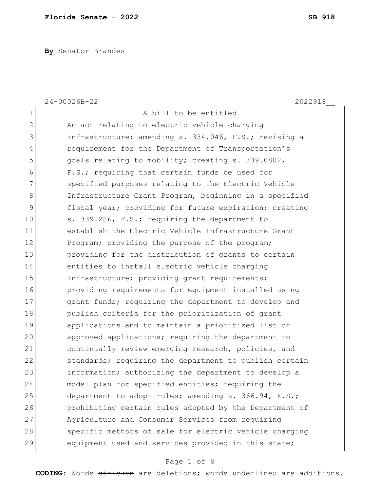**By** Senator Brandes

|                | $24 - 00026B - 22$<br>2022918                          |
|----------------|--------------------------------------------------------|
| $\mathbf 1$    | A bill to be entitled                                  |
| $\overline{2}$ | An act relating to electric vehicle charging           |
| 3              | infrastructure; amending s. 334.046, F.S.; revising a  |
| 4              | requirement for the Department of Transportation's     |
| 5              | goals relating to mobility; creating s. 339.0802,      |
| 6              | F.S.; requiring that certain funds be used for         |
| 7              | specified purposes relating to the Electric Vehicle    |
| 8              | Infrastructure Grant Program, beginning in a specified |
| 9              | fiscal year; providing for future expiration; creating |
| 10             | s. 339.286, F.S.; requiring the department to          |
| 11             | establish the Electric Vehicle Infrastructure Grant    |
| 12             | Program; providing the purpose of the program;         |
| 13             | providing for the distribution of grants to certain    |
| 14             | entities to install electric vehicle charging          |
| 15             | infrastructure; providing grant requirements;          |
| 16             | providing requirements for equipment installed using   |
| 17             | grant funds; requiring the department to develop and   |
| 18             | publish criteria for the prioritization of grant       |
| 19             | applications and to maintain a prioritized list of     |
| 20             | approved applications; requiring the department to     |
| 21             | continually review emerging research, policies, and    |
| 22             | standards; requiring the department to publish certain |
| 23             | information; authorizing the department to develop a   |
| 24             | model plan for specified entities; requiring the       |
| 25             | department to adopt rules; amending s. 366.94, F.S.;   |
| 26             | prohibiting certain rules adopted by the Department of |
| 27             | Agriculture and Consumer Services from requiring       |
| 28             | specific methods of sale for electric vehicle charging |
| 29             | equipment used and services provided in this state;    |

# Page 1 of 8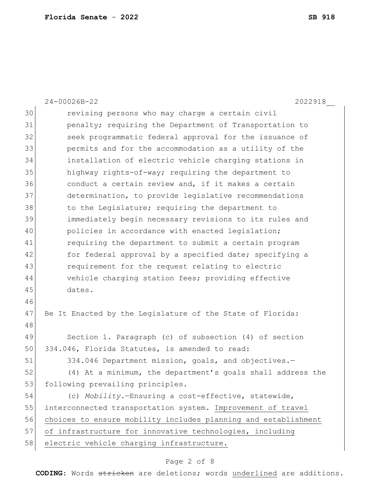24-00026B-22 2022918\_\_ revising persons who may charge a certain civil **penalty;** requiring the Department of Transportation to seek programmatic federal approval for the issuance of permits and for the accommodation as a utility of the installation of electric vehicle charging stations in highway rights-of-way; requiring the department to conduct a certain review and, if it makes a certain determination, to provide legislative recommendations 38 to the Legislature; requiring the department to immediately begin necessary revisions to its rules and 40 policies in accordance with enacted legislation; requiring the department to submit a certain program 42 for federal approval by a specified date; specifying a requirement for the request relating to electric vehicle charging station fees; providing effective dates. 47 Be It Enacted by the Legislature of the State of Florida: Section 1. Paragraph (c) of subsection (4) of section 50 334.046, Florida Statutes, is amended to read: 334.046 Department mission, goals, and objectives.— (4) At a minimum, the department's goals shall address the 53 following prevailing principles. (c) *Mobility.*—Ensuring a cost-effective, statewide, 55 interconnected transportation system. Improvement of travel choices to ensure mobility includes planning and establishment 57 of infrastructure for innovative technologies, including 58 electric vehicle charging infrastructure.

### Page 2 of 8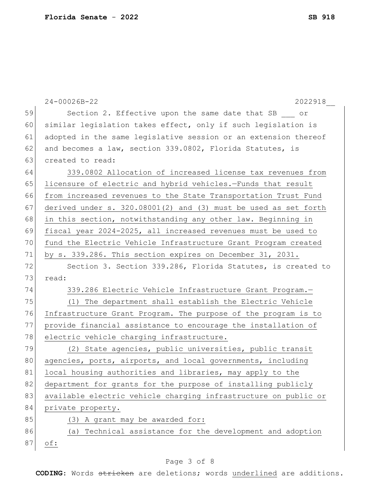|    | $24 - 00026B - 22$<br>2022918                                       |
|----|---------------------------------------------------------------------|
| 59 | Section 2. Effective upon the same date that SB or                  |
| 60 | similar legislation takes effect, only if such legislation is       |
| 61 | adopted in the same legislative session or an extension thereof     |
| 62 | and becomes a law, section 339.0802, Florida Statutes, is           |
| 63 | created to read:                                                    |
| 64 | 339.0802 Allocation of increased license tax revenues from          |
| 65 | licensure of electric and hybrid vehicles.-Funds that result        |
| 66 | from increased revenues to the State Transportation Trust Fund      |
| 67 | derived under $s. 320.08001(2)$ and $(3)$ must be used as set forth |
| 68 | in this section, notwithstanding any other law. Beginning in        |
| 69 | fiscal year 2024-2025, all increased revenues must be used to       |
| 70 | fund the Electric Vehicle Infrastructure Grant Program created      |
| 71 | by s. 339.286. This section expires on December 31, 2031.           |
| 72 | Section 3. Section 339.286, Florida Statutes, is created to         |
| 73 | read:                                                               |
| 74 | 339.286 Electric Vehicle Infrastructure Grant Program.-             |
| 75 | (1) The department shall establish the Electric Vehicle             |
| 76 | Infrastructure Grant Program. The purpose of the program is to      |
| 77 | provide financial assistance to encourage the installation of       |
| 78 | electric vehicle charging infrastructure.                           |
| 79 | (2) State agencies, public universities, public transit             |
| 80 | agencies, ports, airports, and local governments, including         |
| 81 | local housing authorities and libraries, may apply to the           |
| 82 | department for grants for the purpose of installing publicly        |
| 83 | available electric vehicle charging infrastructure on public or     |
| 84 | private property.                                                   |
| 85 | A grant may be awarded for:<br>(3)                                  |
| 86 | Technical assistance for the development and adoption<br>(a)        |
| 87 | $\circ f$ :                                                         |

# Page 3 of 8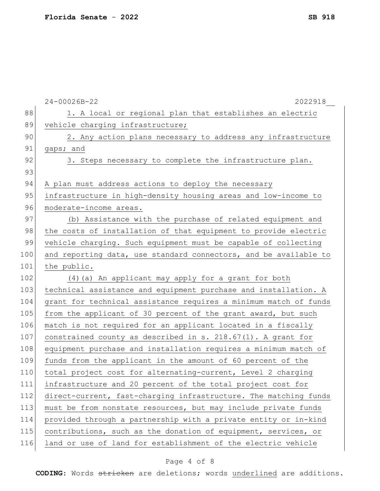|     | 24-00026B-22<br>2022918                                          |
|-----|------------------------------------------------------------------|
| 88  | 1. A local or regional plan that establishes an electric         |
| 89  | vehicle charging infrastructure;                                 |
| 90  | 2. Any action plans necessary to address any infrastructure      |
| 91  | gaps; and                                                        |
| 92  | 3. Steps necessary to complete the infrastructure plan.          |
| 93  |                                                                  |
| 94  | A plan must address actions to deploy the necessary              |
| 95  | infrastructure in high-density housing areas and low-income to   |
| 96  | moderate-income areas.                                           |
| 97  | (b) Assistance with the purchase of related equipment and        |
| 98  | the costs of installation of that equipment to provide electric  |
| 99  | vehicle charging. Such equipment must be capable of collecting   |
| 100 | and reporting data, use standard connectors, and be available to |
| 101 | the public.                                                      |
| 102 | (4) (a) An applicant may apply for a grant for both              |
| 103 | technical assistance and equipment purchase and installation. A  |
| 104 | grant for technical assistance requires a minimum match of funds |
| 105 | from the applicant of 30 percent of the grant award, but such    |
| 106 | match is not required for an applicant located in a fiscally     |
| 107 | constrained county as described in s. 218.67(1). A grant for     |
| 108 | equipment purchase and installation requires a minimum match of  |
| 109 | funds from the applicant in the amount of 60 percent of the      |
| 110 | total project cost for alternating-current, Level 2 charging     |
| 111 | infrastructure and 20 percent of the total project cost for      |
| 112 | direct-current, fast-charging infrastructure. The matching funds |
| 113 | must be from nonstate resources, but may include private funds   |
| 114 | provided through a partnership with a private entity or in-kind  |
| 115 | contributions, such as the donation of equipment, services, or   |
| 116 | land or use of land for establishment of the electric vehicle    |

# Page 4 of 8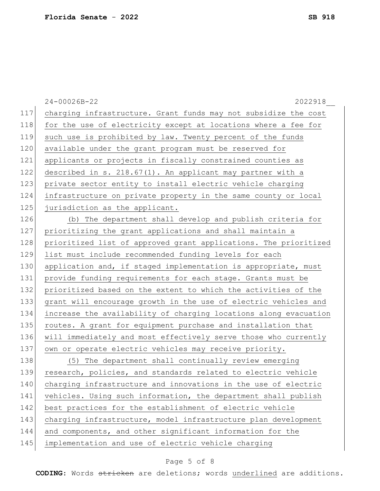|     | $24 - 00026B - 22$<br>2022918                                    |
|-----|------------------------------------------------------------------|
| 117 | charging infrastructure. Grant funds may not subsidize the cost  |
| 118 | for the use of electricity except at locations where a fee for   |
| 119 | such use is prohibited by law. Twenty percent of the funds       |
| 120 | available under the grant program must be reserved for           |
| 121 | applicants or projects in fiscally constrained counties as       |
| 122 | described in s. 218.67(1). An applicant may partner with a       |
| 123 | private sector entity to install electric vehicle charging       |
| 124 | infrastructure on private property in the same county or local   |
| 125 | jurisdiction as the applicant.                                   |
| 126 | (b) The department shall develop and publish criteria for        |
| 127 | prioritizing the grant applications and shall maintain a         |
| 128 | prioritized list of approved grant applications. The prioritized |
| 129 | list must include recommended funding levels for each            |
| 130 | application and, if staged implementation is appropriate, must   |
| 131 | provide funding requirements for each stage. Grants must be      |
| 132 | prioritized based on the extent to which the activities of the   |
| 133 | grant will encourage growth in the use of electric vehicles and  |
| 134 | increase the availability of charging locations along evacuation |
| 135 | routes. A grant for equipment purchase and installation that     |
| 136 | will immediately and most effectively serve those who currently  |
| 137 | own or operate electric vehicles may receive priority.           |
| 138 | (5) The department shall continually review emerging             |
| 139 | research, policies, and standards related to electric vehicle    |
| 140 | charging infrastructure and innovations in the use of electric   |
| 141 | vehicles. Using such information, the department shall publish   |
| 142 | best practices for the establishment of electric vehicle         |
| 143 | charging infrastructure, model infrastructure plan development   |
| 144 | and components, and other significant information for the        |
| 145 | implementation and use of electric vehicle charging              |

# Page 5 of 8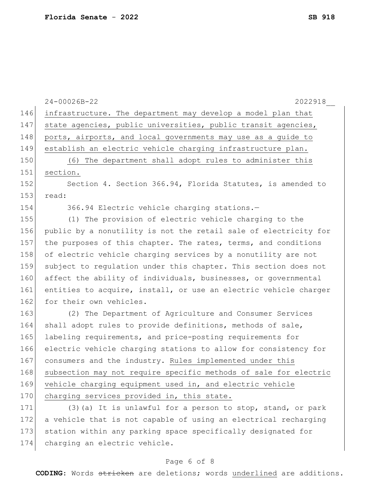|     | 24-00026B-22<br>2022918                                          |
|-----|------------------------------------------------------------------|
| 146 | infrastructure. The department may develop a model plan that     |
| 147 | state agencies, public universities, public transit agencies,    |
| 148 | ports, airports, and local governments may use as a guide to     |
| 149 | establish an electric vehicle charging infrastructure plan.      |
| 150 | (6) The department shall adopt rules to administer this          |
| 151 | section.                                                         |
| 152 | Section 4. Section 366.94, Florida Statutes, is amended to       |
| 153 | read:                                                            |
| 154 | 366.94 Electric vehicle charging stations.-                      |
| 155 | (1) The provision of electric vehicle charging to the            |
| 156 | public by a nonutility is not the retail sale of electricity for |
| 157 | the purposes of this chapter. The rates, terms, and conditions   |
| 158 | of electric vehicle charging services by a nonutility are not    |
| 159 | subject to regulation under this chapter. This section does not  |
| 160 | affect the ability of individuals, businesses, or governmental   |
| 161 | entities to acquire, install, or use an electric vehicle charger |
| 162 | for their own vehicles.                                          |
| 163 | (2) The Department of Agriculture and Consumer Services          |
| 164 | shall adopt rules to provide definitions, methods of sale,       |
| 165 | labeling requirements, and price-posting requirements for        |
| 166 | electric vehicle charging stations to allow for consistency for  |
| 167 | consumers and the industry. Rules implemented under this         |
| 168 | subsection may not require specific methods of sale for electric |
| 169 | vehicle charging equipment used in, and electric vehicle         |
| 170 | charging services provided in, this state.                       |
| 171 | (3) (a) It is unlawful for a person to stop, stand, or park      |
| 172 | a vehicle that is not capable of using an electrical recharging  |
| 173 | station within any parking space specifically designated for     |
| 174 | charging an electric vehicle.                                    |

### Page 6 of 8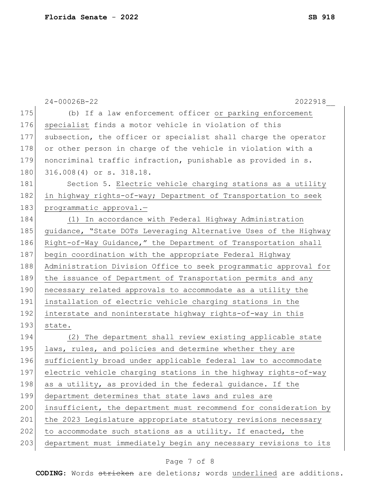|     | $24 - 00026B - 22$<br>2022918                                    |
|-----|------------------------------------------------------------------|
| 175 | (b) If a law enforcement officer or parking enforcement          |
| 176 | specialist finds a motor vehicle in violation of this            |
| 177 | subsection, the officer or specialist shall charge the operator  |
| 178 | or other person in charge of the vehicle in violation with a     |
| 179 | noncriminal traffic infraction, punishable as provided in s.     |
| 180 | 316.008(4) or s. 318.18.                                         |
| 181 | Section 5. Electric vehicle charging stations as a utility       |
| 182 | in highway rights-of-way; Department of Transportation to seek   |
| 183 | programmatic approval.-                                          |
| 184 | (1) In accordance with Federal Highway Administration            |
| 185 | guidance, "State DOTs Leveraging Alternative Uses of the Highway |
| 186 | Right-of-Way Guidance," the Department of Transportation shall   |
| 187 | begin coordination with the appropriate Federal Highway          |
| 188 | Administration Division Office to seek programmatic approval for |
| 189 | the issuance of Department of Transportation permits and any     |
| 190 | necessary related approvals to accommodate as a utility the      |
| 191 | installation of electric vehicle charging stations in the        |
| 192 | interstate and noninterstate highway rights-of-way in this       |
| 193 | state.                                                           |
| 194 | (2) The department shall review existing applicable state        |
| 195 | laws, rules, and policies and determine whether they are         |
| 196 | sufficiently broad under applicable federal law to accommodate   |
| 197 | electric vehicle charging stations in the highway rights-of-way  |
| 198 | as a utility, as provided in the federal guidance. If the        |
| 199 | department determines that state laws and rules are              |
| 200 | insufficient, the department must recommend for consideration by |
| 201 | the 2023 Legislature appropriate statutory revisions necessary   |
| 202 | to accommodate such stations as a utility. If enacted, the       |
| 203 | department must immediately begin any necessary revisions to its |
|     |                                                                  |

# Page 7 of 8